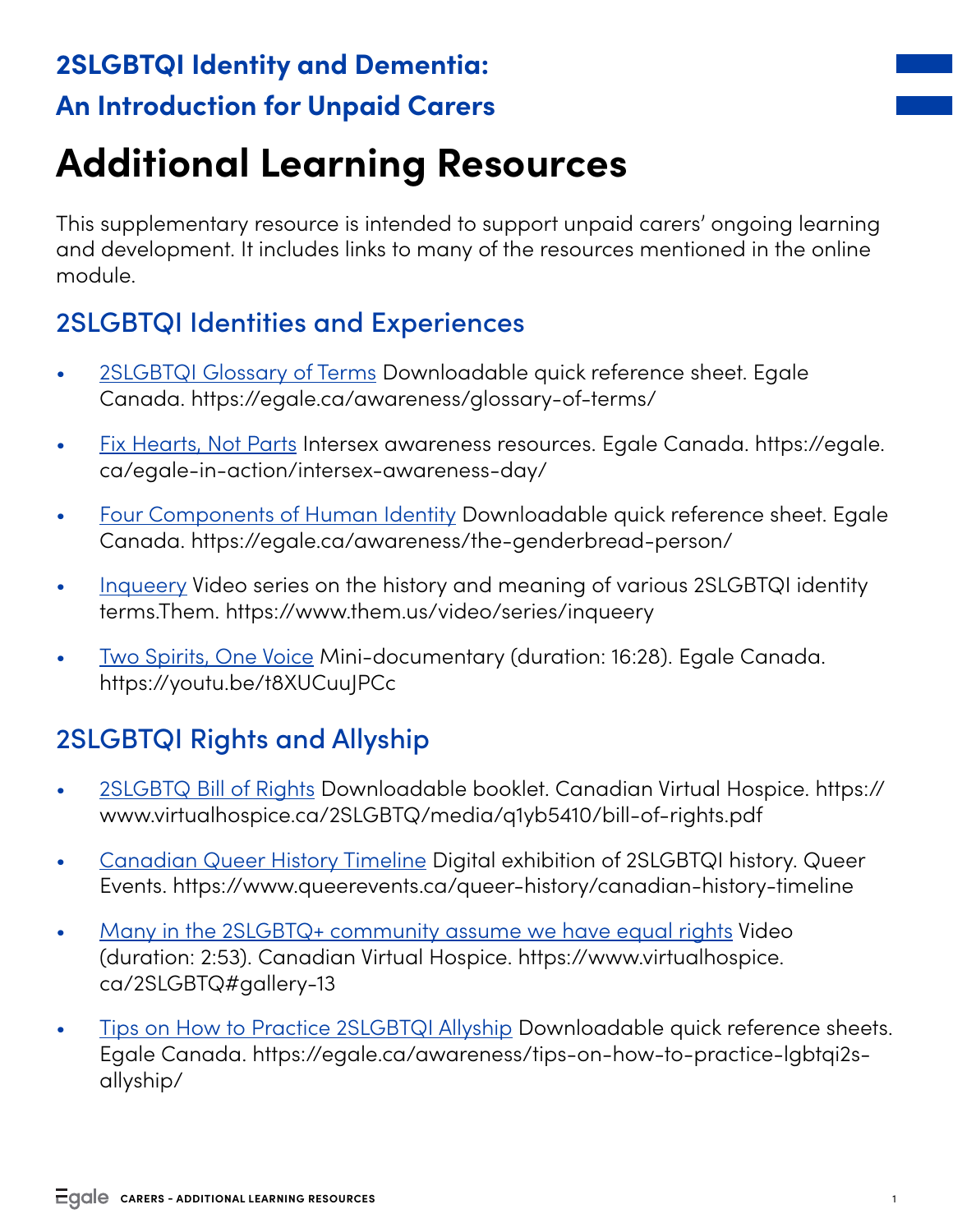# **2SLGBTQI Identity and Dementia: An Introduction for Unpaid Carers**

# **Additional Learning Resources**

This supplementary resource is intended to support unpaid carers' ongoing learning and development. It includes links to many of the resources mentioned in the online module.

## 2SLGBTQI Identities and Experiences

- [2SLGBTQI Glossary of Terms](https://egale.ca/awareness/glossary-of-terms/) Downloadable quick reference sheet. Egale Canada. https://egale.ca/awareness/glossary-of-terms/
- [Fix Hearts, Not Parts](https://egale.ca/egale-in-action/intersex-awareness-day/) Intersex awareness resources. Egale Canada. https://egale. ca/egale-in-action/intersex-awareness-day/
- [Four Components of Human Identity](https://egale.ca/awareness/the-genderbread-person/) Downloadable quick reference sheet. Egale Canada. https://egale.ca/awareness/the-genderbread-person/
- [Inqueery](https://www.them.us/video/series/inqueery) Video series on the history and meaning of various 2SLGBTQI identity terms.Them. https://www.them.us/video/series/inqueery
- [Two Spirits, One Voice](https://youtu.be/t8XUCuuJPCc) Mini-documentary (duration: 16:28). Egale Canada. https://youtu.be/t8XUCuuJPCc

# 2SLGBTQI Rights and Allyship

- [2SLGBTQ Bill of Rights](https://www.virtualhospice.ca/2SLGBTQ/media/q1yb5410/bill-of-rights.pdf) Downloadable booklet. Canadian Virtual Hospice. https:// www.virtualhospice.ca/2SLGBTQ/media/q1yb5410/bill-of-rights.pdf
- [Canadian Queer History Timeline](https://www.queerevents.ca/queer-history/canadian-history-timeline) Digital exhibition of 2SLGBTQI history. Queer Events. https://www.queerevents.ca/queer-history/canadian-history-timeline
- [Many in the 2SLGBTQ+ community assume we have equal rights](https://www.virtualhospice.ca/2SLGBTQ#gallery-13) Video (duration: 2:53). Canadian Virtual Hospice. https://www.virtualhospice. ca/2SLGBTQ#gallery-13
- [Tips on How to Practice 2SLGBTQI Allyship](https://egale.ca/awareness/tips-on-how-to-practice-lgbtqi2s-allyship/) Downloadable quick reference sheets. Egale Canada. [https://egale.ca/awareness/tips-on-how-to-practice-lgbtqi2s](https://egale.ca/awareness/tips-on-how-to-practice-lgbtqi2s-allyship/)[allyship/](https://egale.ca/awareness/tips-on-how-to-practice-lgbtqi2s-allyship/)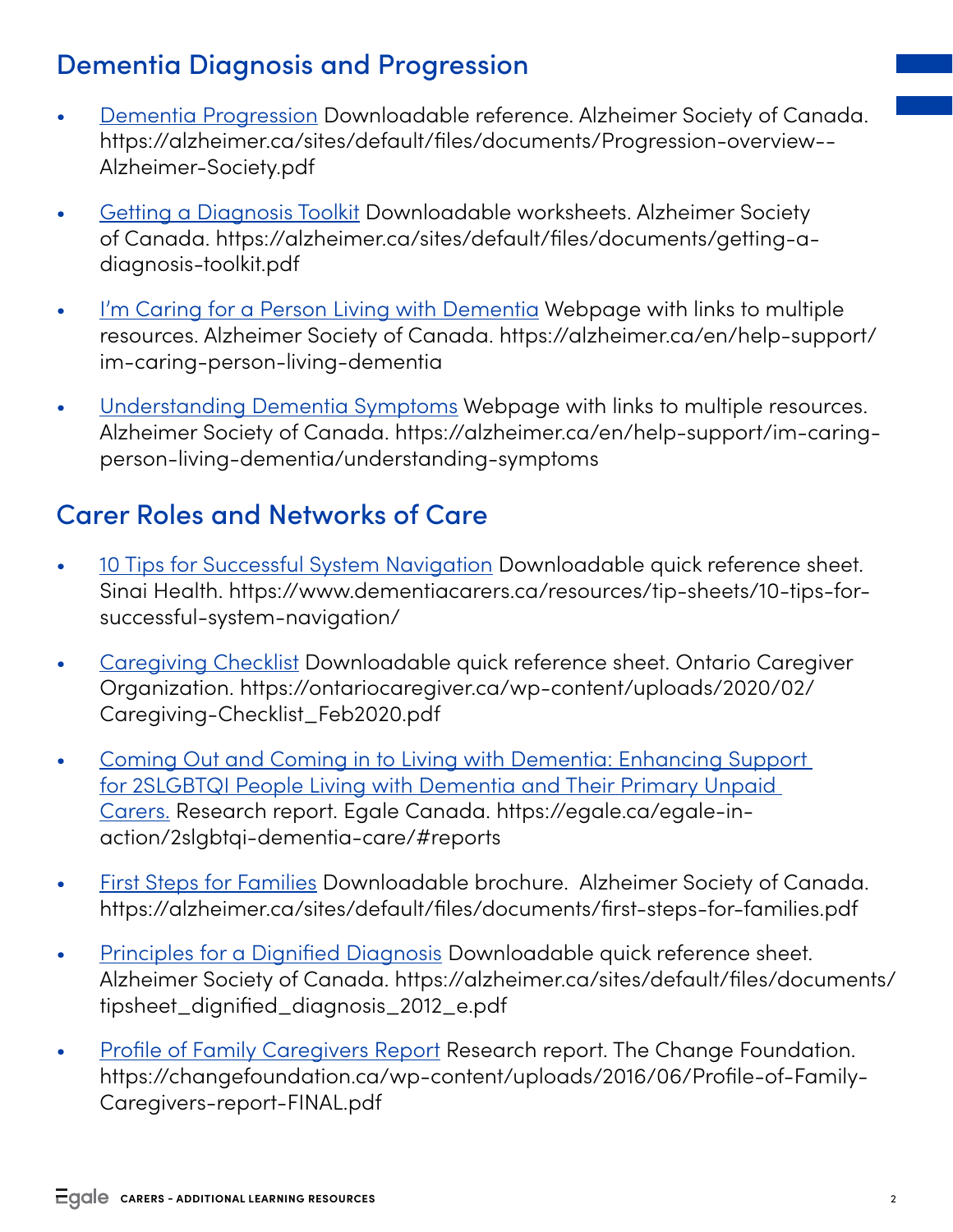#### Dementia Diagnosis and Progression

- [Dementia Progression](https://alzheimer.ca/sites/default/files/documents/Progression-overview--Alzheimer-Society.pdf) Downloadable reference. Alzheimer Society of Canada. https://alzheimer.ca/sites/default/files/documents/Progression-overview-- Alzheimer-Society.pdf
- [Getting a Diagnosis Toolkit](https://alzheimer.ca/sites/default/files/documents/getting-a-diagnosis-toolkit.pdf) Downloadable worksheets. Alzheimer Society of Canada. https://alzheimer.ca/sites/default/files/documents/getting-adiagnosis-toolkit.pdf
- [I'm Caring for a Person Living with Dementia](https://alzheimer.ca/en/help-support/im-caring-person-living-dementia) Webpage with links to multiple resources. Alzheimer Society of Canada. https://alzheimer.ca/en/help-support/ im-caring-person-living-dementia
- [Understanding Dementia Symptoms](https://alzheimer.ca/en/help-support/im-caring-person-living-dementia/understanding-symptoms) Webpage with links to multiple resources. Alzheimer Society of Canada. https://alzheimer.ca/en/help-support/im-caringperson-living-dementia/understanding-symptoms

#### Carer Roles and Networks of Care

- [10 Tips for Successful System Navigation](https://www.dementiacarers.ca/resources/tip-sheets/10-tips-for-successful-system-navigation/) Downloadable quick reference sheet. Sinai Health. https://www.dementiacarers.ca/resources/tip-sheets/10-tips-forsuccessful-system-navigation/
- [Caregiving Checklist](https://ontariocaregiver.ca/wp-content/uploads/2020/02/Caregiving-Checklist_Feb2020.pdf) Downloadable quick reference sheet. Ontario Caregiver Organization. https://ontariocaregiver.ca/wp-content/uploads/2020/02/ Caregiving-Checklist\_Feb2020.pdf
- [Coming Out and Coming in to Living with Dementia: Enhancing Support](https://egale.ca/egale-in-action/2slgbtqi-dementia-care/#reports)  [for 2SLGBTQI People Living with Dementia and Their Primary Unpaid](https://egale.ca/egale-in-action/2slgbtqi-dementia-care/#reports)  [Carers](https://egale.ca/egale-in-action/2slgbtqi-dementia-care/#reports). Research report. Egale Canada. https://egale.ca/egale-inaction/2slgbtqi-dementia-care/#reports
- [First Steps for Families](https://alzheimer.ca/sites/default/files/documents/first-steps-for-families.pdf) Downloadable brochure. Alzheimer Society of Canada. https://alzheimer.ca/sites/default/files/documents/first-steps-for-families.pdf
- [Principles for a Dignified Diagnosis](https://alzheimer.ca/sites/default/files/documents/tipsheet_dignified_diagnosis_2012_e.pdf) Downloadable quick reference sheet. Alzheimer Society of Canada. https://alzheimer.ca/sites/default/files/documents/ tipsheet\_dignified\_diagnosis\_2012\_e.pdf
- [Profile of Family Caregivers Report](https://changefoundation.ca/wp-content/uploads/2016/06/Profile-of-Family-Caregivers-report-FINAL.pdf) Research report. The Change Foundation. https://changefoundation.ca/wp-content/uploads/2016/06/Profile-of-Family-Caregivers-report-FINAL.pdf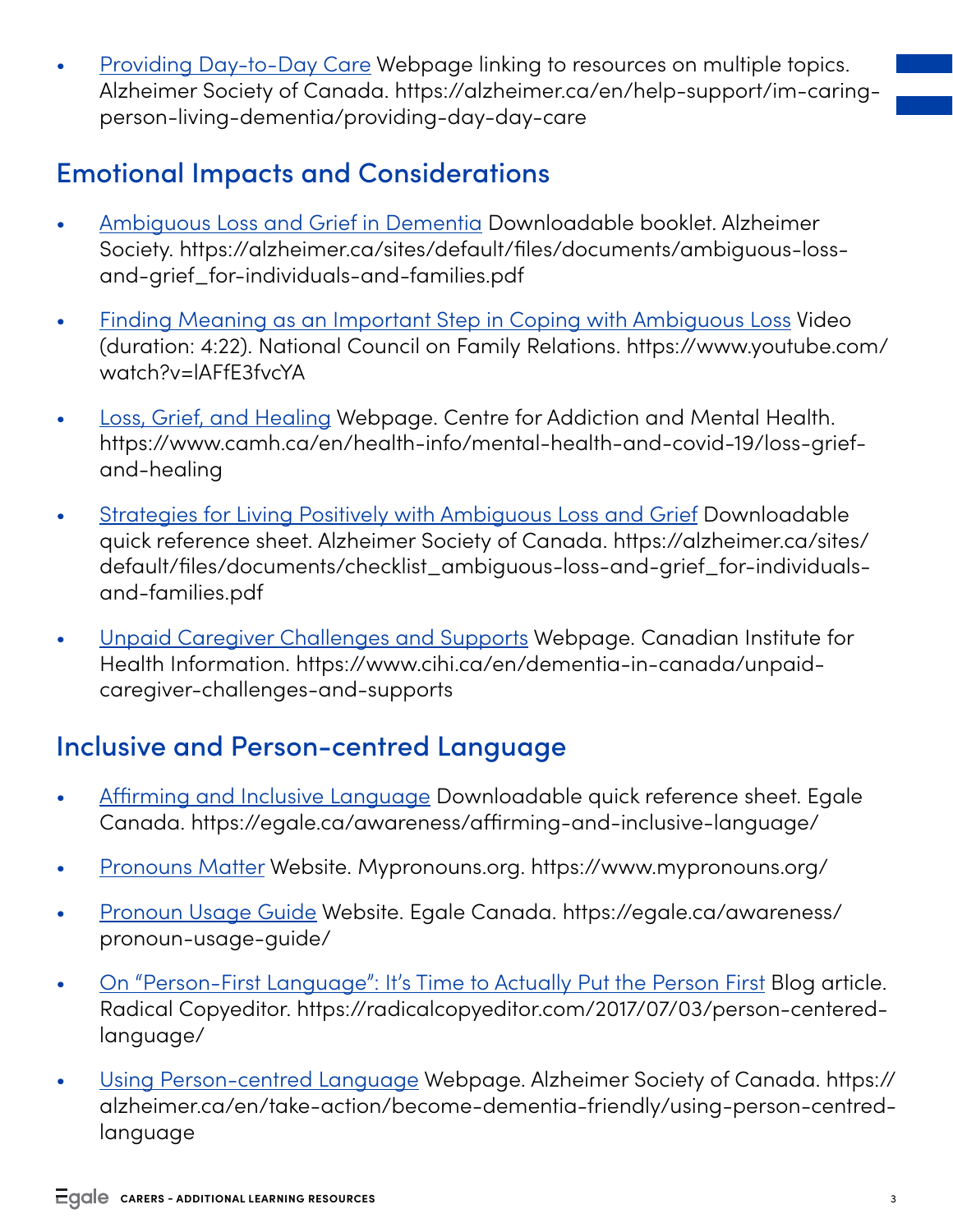• [Providing Day-to-Day Care](https://alzheimer.ca/en/help-support/im-caring-person-living-dementia/providing-day-day-care) Webpage linking to resources on multiple topics. Alzheimer Society of Canada. https://alzheimer.ca/en/help-support/im-caringperson-living-dementia/providing-day-day-care

### Emotional Impacts and Considerations

- [Ambiguous Loss and Grief in Dementia](https://alzheimer.ca/sites/default/files/documents/ambiguous-loss-and-grief_for-individuals-and-families.pdf) Downloadable booklet. Alzheimer Society. https://alzheimer.ca/sites/default/files/documents/ambiguous-lossand-grief\_for-individuals-and-families.pdf
- [Finding Meaning as an Important Step in Coping with Ambiguous Loss](https://www.youtube.com/watch?v=lAFfE3fvcYA) Video (duration: 4:22). National Council on Family Relations. https://www.youtube.com/ watch?v=lAFfE3fvcYA
- [Loss, Grief, and Healing](https://www.camh.ca/en/health-info/mental-health-and-covid-19/loss-grief-and-healing) Webpage. Centre for Addiction and Mental Health. https://www.camh.ca/en/health-info/mental-health-and-covid-19/loss-griefand-healing
- [Strategies for Living Positively with Ambiguous Loss and Grief](https://alzheimer.ca/sites/default/files/documents/checklist_ambiguous-loss-and-grief_for-individuals-and-families.pdf) Downloadable quick reference sheet. Alzheimer Society of Canada. https://alzheimer.ca/sites/ default/files/documents/checklist\_ambiguous-loss-and-grief\_for-individualsand-families.pdf
- [Unpaid Caregiver Challenges and Supports](https://www.cihi.ca/en/dementia-in-canada/unpaid-caregiver-challenges-and-supports) Webpage. Canadian Institute for Health Information. https://www.cihi.ca/en/dementia-in-canada/unpaidcaregiver-challenges-and-supports

#### Inclusive and Person-centred Language

- [Affirming and Inclusive Language](https://egale.ca/awareness/affirming-and-inclusive-language/) Downloadable quick reference sheet. Egale Canada. https://egale.ca/awareness/affirming-and-inclusive-language/
- [Pronouns Matter](https://www.mypronouns.org/) Website. Mypronouns.org. https://www.mypronouns.org/
- [Pronoun Usage Guide](https://egale.ca/awareness/pronoun-usage-guide/) Website. Egale Canada. https://egale.ca/awareness/ pronoun-usage-guide/
- [On "Person-First Language": It's Time to Actually Put the Person First](https://radicalcopyeditor.com/2017/07/03/person-centered-language/) Blog article. Radical Copyeditor. https://radicalcopyeditor.com/2017/07/03/person-centeredlanguage/
- [Using Person-centred Language](https://alzheimer.ca/en/take-action/become-dementia-friendly/using-person-centred-language) Webpage. Alzheimer Society of Canada. https:// alzheimer.ca/en/take-action/become-dementia-friendly/using-person-centredlanguage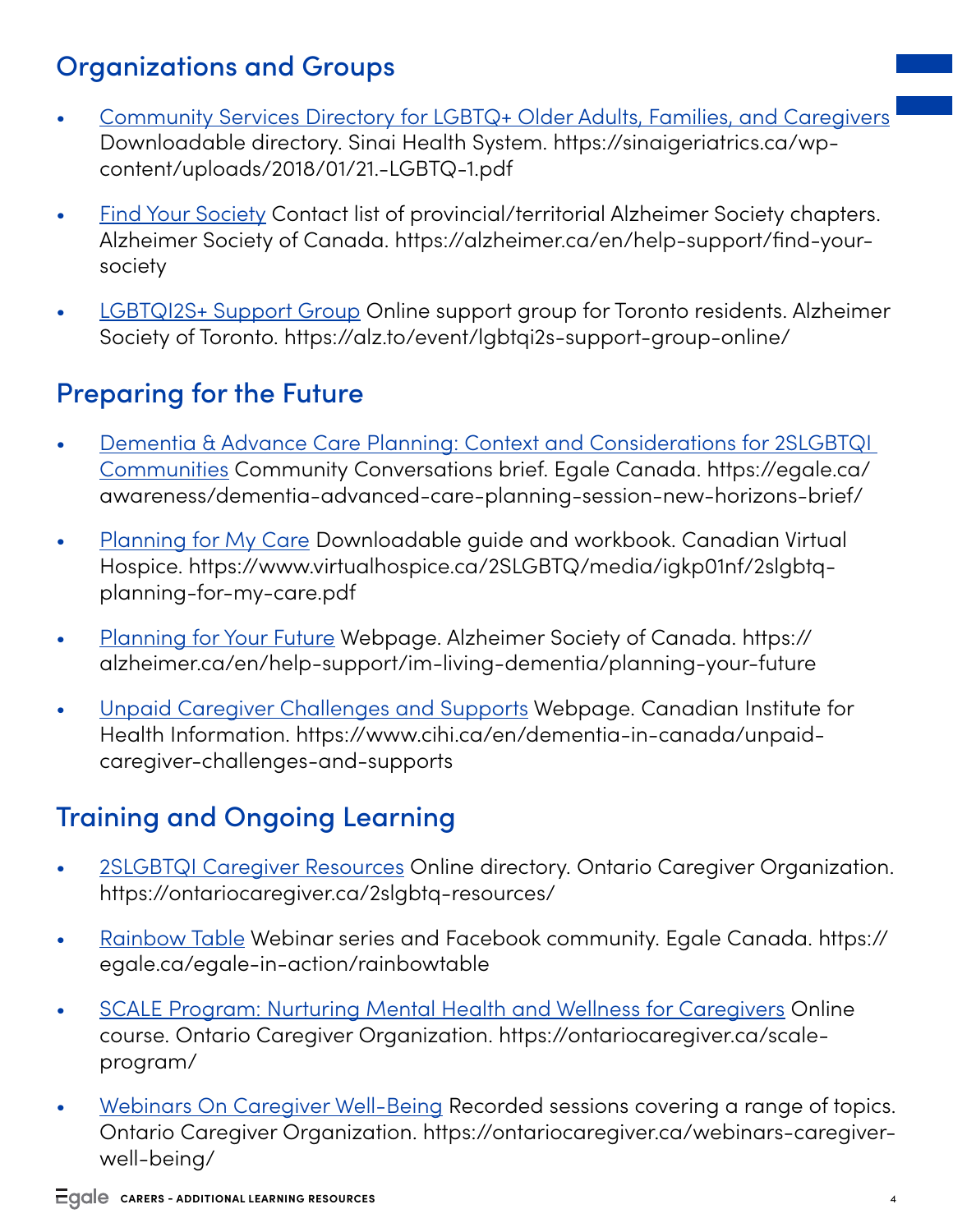# Organizations and Groups

- [Community Services Directory for LGBTQ+ Older Adults, Families, and Caregivers](https://sinaigeriatrics.ca/wp-content/uploads/2018/01/21.-LGBTQ-1.pdf) Downloadable directory. Sinai Health System. https://sinaigeriatrics.ca/wpcontent/uploads/2018/01/21.-LGBTQ-1.pdf
- [Find Your Society](https://alzheimer.ca/en/help-support/find-your-society) Contact list of provincial/territorial Alzheimer Society chapters. Alzheimer Society of Canada. https://alzheimer.ca/en/help-support/find-yoursociety
- [LGBTQI2S+ Support Group](https://alz.to/event/lgbtqi2s-support-group-online/) Online support group for Toronto residents. Alzheimer Society of Toronto. https://alz.to/event/lgbtqi2s-support-group-online/

### Preparing for the Future

- [Dementia & Advance Care Planning: Context and Considerations for 2SLGBTQI](https://egale.ca/awareness/dementia-advanced-care-planning-session-new-horizons-brief/)  [Communities](https://egale.ca/awareness/dementia-advanced-care-planning-session-new-horizons-brief/) Community Conversations brief. Egale Canada. https://egale.ca/ awareness/dementia-advanced-care-planning-session-new-horizons-brief/
- [Planning for My Care](https://www.virtualhospice.ca/2SLGBTQ/media/igkp01nf/2slgbtq-planning-for-my-care.pdf) Downloadable guide and workbook. Canadian Virtual Hospice. https://www.virtualhospice.ca/2SLGBTQ/media/igkp01nf/2slgbtqplanning-for-my-care.pdf
- [Planning for Your Future](https://alzheimer.ca/en/help-support/im-living-dementia/planning-your-future) Webpage. Alzheimer Society of Canada. https:// alzheimer.ca/en/help-support/im-living-dementia/planning-your-future
- [Unpaid Caregiver Challenges and Supports](https://www.cihi.ca/en/dementia-in-canada/unpaid-caregiver-challenges-and-supports) Webpage. Canadian Institute for Health Information. https://www.cihi.ca/en/dementia-in-canada/unpaidcaregiver-challenges-and-supports

# Training and Ongoing Learning

- [2SLGBTQI Caregiver Resources](https://ontariocaregiver.ca/2slgbtq-resources/) Online directory. Ontario Caregiver Organization. https://ontariocaregiver.ca/2slgbtq-resources/
- [Rainbow Table](https://egale.ca/egale-in-action/rainbowtable) Webinar series and Facebook community. Egale Canada. https:// egale.ca/egale-in-action/rainbowtable
- [SCALE Program: Nurturing Mental Health and Wellness for Caregivers](https://ontariocaregiver.ca/scale-program/) Online course. Ontario Caregiver Organization. https://ontariocaregiver.ca/scaleprogram/
- [Webinars On Caregiver Well-Being](https://ontariocaregiver.ca/webinars-caregiver-well-being/) Recorded sessions covering a range of topics. Ontario Caregiver Organization. https://ontariocaregiver.ca/webinars-caregiverwell-being/